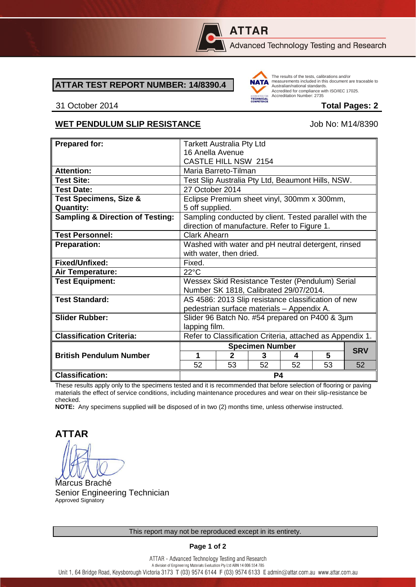

# **ATTAR**

Advanced Technology Testing and Research

### **ATTAR TEST REPORT NUMBER: 14/8390.4**



The results of the tests, calibrations and/or measurements included in this document are traceable to Australian/national standards. Adstrational Midtonian Standards:<br>Accredited for compliance with ISO/IEC 17025. Accreditation Number: 2735

### 31 October 2014 **Total Pages: 2**

### WET PENDULUM SLIP RESISTANCE Job No: M14/8390

| <b>Prepared for:</b>                        | <b>Tarkett Australia Pty Ltd</b>                                                                       |                        |    |    |    |            |
|---------------------------------------------|--------------------------------------------------------------------------------------------------------|------------------------|----|----|----|------------|
|                                             | 16 Anella Avenue                                                                                       |                        |    |    |    |            |
|                                             | CASTLE HILL NSW 2154                                                                                   |                        |    |    |    |            |
| <b>Attention:</b>                           | Maria Barreto-Tilman                                                                                   |                        |    |    |    |            |
| <b>Test Site:</b>                           | Test Slip Australia Pty Ltd, Beaumont Hills, NSW.                                                      |                        |    |    |    |            |
| <b>Test Date:</b>                           | 27 October 2014                                                                                        |                        |    |    |    |            |
| <b>Test Specimens, Size &amp;</b>           | Eclipse Premium sheet vinyl, 300mm x 300mm,                                                            |                        |    |    |    |            |
| <b>Quantity:</b>                            | 5 off supplied.                                                                                        |                        |    |    |    |            |
| <b>Sampling &amp; Direction of Testing:</b> | Sampling conducted by client. Tested parallel with the<br>direction of manufacture. Refer to Figure 1. |                        |    |    |    |            |
| <b>Test Personnel:</b>                      | Clark Ahearn                                                                                           |                        |    |    |    |            |
|                                             |                                                                                                        |                        |    |    |    |            |
| <b>Preparation:</b>                         | Washed with water and pH neutral detergent, rinsed                                                     |                        |    |    |    |            |
|                                             | with water, then dried.                                                                                |                        |    |    |    |            |
| Fixed/Unfixed:                              | Fixed.                                                                                                 |                        |    |    |    |            |
| Air Temperature:                            | $22^{\circ}$ C                                                                                         |                        |    |    |    |            |
| <b>Test Equipment:</b>                      | Wessex Skid Resistance Tester (Pendulum) Serial                                                        |                        |    |    |    |            |
|                                             | Number SK 1818, Calibrated 29/07/2014.                                                                 |                        |    |    |    |            |
| <b>Test Standard:</b>                       | AS 4586: 2013 Slip resistance classification of new                                                    |                        |    |    |    |            |
|                                             | pedestrian surface materials - Appendix A.                                                             |                        |    |    |    |            |
| <b>Slider Rubber:</b>                       | Slider 96 Batch No. #54 prepared on P400 & 3µm                                                         |                        |    |    |    |            |
|                                             | lapping film.                                                                                          |                        |    |    |    |            |
| <b>Classification Criteria:</b>             | Refer to Classification Criteria, attached as Appendix 1.                                              |                        |    |    |    |            |
|                                             |                                                                                                        | <b>Specimen Number</b> |    |    |    |            |
| <b>British Pendulum Number</b>              | 1                                                                                                      | $\mathbf{2}$           | 3  | 4  | 5  | <b>SRV</b> |
|                                             | 52                                                                                                     | 53                     | 52 | 52 | 53 | 52         |
| <b>Classification:</b>                      | P4                                                                                                     |                        |    |    |    |            |

These results apply only to the specimens tested and it is recommended that before selection of flooring or paving materials the effect of service conditions, including maintenance procedures and wear on their slip-resistance be checked.

**NOTE:** Any specimens supplied will be disposed of in two (2) months time, unless otherwise instructed.

**ATTAR**

Marcus Braché Senior Engineering Technician Approved Signatory

### **Page 1 of 2**